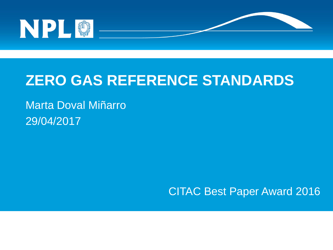

#### **ZERO GAS REFERENCE STANDARDS**

#### Marta Doval Miñarro 29/04/2017

CITAC Best Paper Award 2016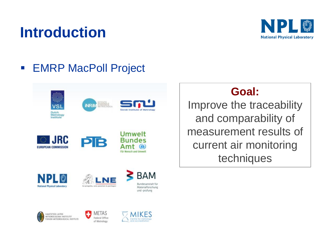

#### **EMRP MacPoll Project**



#### **Goal:**

Improve the traceability and comparability of measurement results of current air monitoring techniques





**BAM** Bundesanstalt für Materialforschung und -prüfung



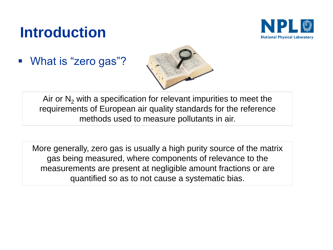

**What is "zero gas"?** 



Air or  $N<sub>2</sub>$  with a specification for relevant impurities to meet the requirements of European air quality standards for the reference methods used to measure pollutants in air.

More generally, zero gas is usually a high purity source of the matrix gas being measured, where components of relevance to the measurements are present at negligible amount fractions or are quantified so as to not cause a systematic bias.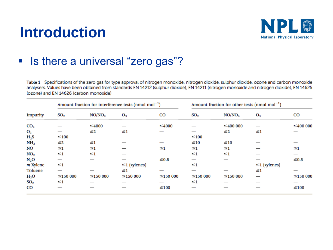

#### **In Italye is there a universal "zero gas"?**

Table 1 Specifications of the zero gas for type approval of nitrogen monoxide, nitrogen dioxide, sulphur dioxide, ozone and carbon monoxide analysers. Values have been obtained from standards EN 14212 (sulphur dioxide), EN 14211 (nitrogen monoxide and nitrogen dioxide), EN 14625 (ozone) and EN 14626 (carbon monoxide)

| Impurity        | Amount fraction for interference tests (nmol $mol^{-1}$ ) |                    |                    |                | Amount fraction for other tests (nmol mol <sup>-1</sup> ) |                    |                    |                |
|-----------------|-----------------------------------------------------------|--------------------|--------------------|----------------|-----------------------------------------------------------|--------------------|--------------------|----------------|
|                 | SO <sub>2</sub>                                           | NO/NO <sub>2</sub> | $O_3$              | $_{\rm CO}$    | SO <sub>2</sub>                                           | NO/NO <sub>2</sub> | $O_3$              | CO             |
| CO <sub>2</sub> |                                                           | $\leq 4000$        |                    | ≤4000          |                                                           | $\leq 400000$      |                    | $\leq 400000$  |
| $O_3$           |                                                           | ≤2                 | ≤1                 |                |                                                           | $\leq$ 2           | $\leq 1$           |                |
| $H_2S$          | $\leq 100$                                                |                    |                    |                | $≤100$                                                    |                    |                    |                |
| NH <sub>3</sub> | $\leq$ 2                                                  | $\leq 1$           |                    |                | $\leq 10$                                                 | $\leq 10$          |                    |                |
| NO              | ≤1                                                        | ≤1                 |                    | $\leq 1$       | ≤1                                                        | ≤1                 |                    | ≤1             |
| NO <sub>2</sub> | ≤1                                                        | $\leq 1$           |                    |                | $\leq 1$                                                  | ≤1                 |                    |                |
| $N_2O$          |                                                           |                    |                    | $\leq 0.5$     |                                                           |                    |                    | ≤0.5           |
| $m$ -Xylene     | ≤1                                                        |                    | $\leq$ 1 (xylenes) |                | ≤1                                                        |                    | $\leq$ 1 (xylenes) |                |
| Toluene         |                                                           |                    | ≤1                 |                |                                                           |                    | ≤1                 |                |
| $H_2O$          | $\leq$ 150 000                                            | $\leq$ 150 000     | $\leq$ 150 000     | $\leq$ 150 000 | $\leq$ 150 000                                            | $\leq$ 150 000     |                    | $\leq$ 150 000 |
| SO <sub>2</sub> | ≤1                                                        |                    |                    |                | ≤1                                                        |                    |                    |                |
| CO              |                                                           |                    |                    | ≤100           |                                                           |                    |                    | $≤100$         |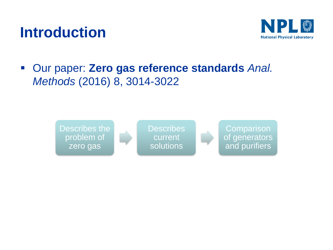

#### Our paper: **Zero gas reference standards** *Anal. Methods* (2016) 8, 3014-3022

Describes the problem of zero gas

**Describes** current solutions

**Comparison** of generators and purifiers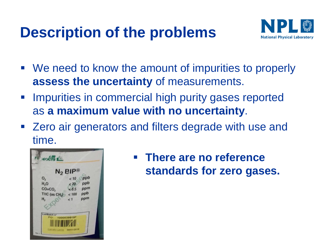## **Description of the problems**



- We need to know the amount of impurities to properly **assess the uncertainty** of measurements.
- **Impurities in commercial high purity gases reported** as **a maximum value with no uncertainty**.
- Zero air generators and filters degrade with use and time.



 **There are no reference standards for zero gases.**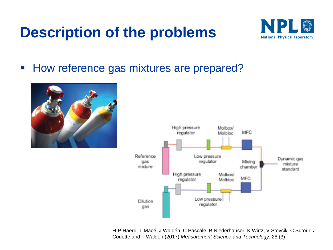#### **Description of the problems**



■ How reference gas mixtures are prepared?





H-P Haerri, T Macé, J Waldén, C Pascale, B Niederhauser, K Wirtz, V Stovcik, C Sutour, J Couette and T Waldén (2017) *Measurement Science and Technology*, 28 (3)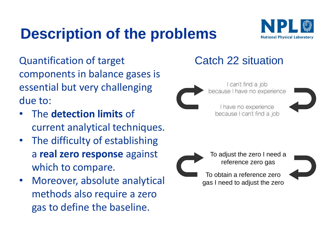# **Description of the problems**



Quantification of target components in balance gases is essential but very challenging due to:

- The **detection limits** of current analytical techniques.
- The difficulty of establishing a **real zero response** against which to compare.
- Moreover, absolute analytical methods also require a zero gas to define the baseline.

#### Catch 22 situation



I can't find a job because I have no experience

I have no experience because I can't find a job





To adjust the zero I need a reference zero gas

To obtain a reference zero gas I need to adjust the zero

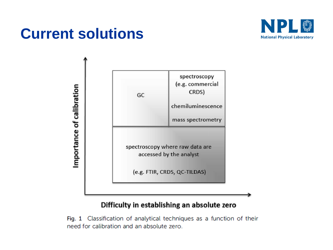

#### **Current solutions**



#### Difficulty in establishing an absolute zero

Fig. 1 Classification of analytical techniques as a function of their need for calibration and an absolute zero.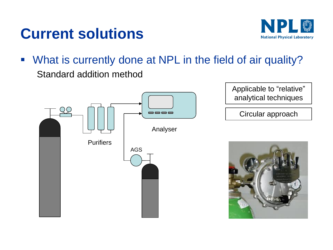#### **Current solutions**



 What is currently done at NPL in the field of air quality? Standard addition method

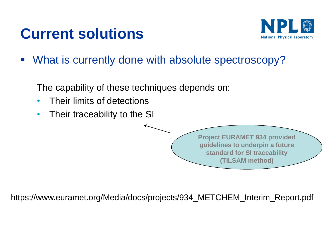### **Current solutions**



What is currently done with absolute spectroscopy?

The capability of these techniques depends on:

- Their limits of detections
- Their traceability to the SI

**Project EURAMET 934 provided guidelines to underpin a future standard for SI traceability (TILSAM method)**

https://www.euramet.org/Media/docs/projects/934\_METCHEM\_Interim\_Report.pdf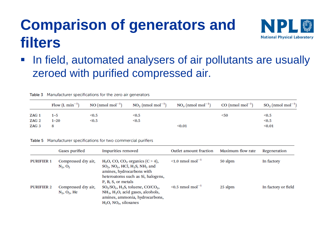# **Comparison of generators and filters**



• In field, automated analysers of air pollutants are usually zeroed with purified compressed air.

Table 3 Manufacturer specifications for the zero air generators

|       | Flow $(L \text{ min}^{-1})$ | $NO (nmol mol-1)$ | $NO2$ (nmol mol <sup>-1</sup> ) | $NO_x$ (nmol mol <sup>-1</sup> ) | $CO \text{ (nmol mol}^{-1})$ | $SO_2$ (nmol mol <sup>-1</sup> ) |
|-------|-----------------------------|-------------------|---------------------------------|----------------------------------|------------------------------|----------------------------------|
| ZAG 1 | $1 - 5$                     | < 0.5             | < 0.5                           |                                  | <50                          | < 0.5                            |
| ZAG 2 | $1 - 20$                    | < 0.5             | < 0.5                           |                                  |                              | < 0.5                            |
| ZAG 3 |                             |                   |                                 | < 0.01                           |                              | < 0.01                           |

Table 5 Manufacturer specifications for two commercial purifiers

|                   | Gases purified                            | <b>Impurities removed</b>                                                                                                                                                                                      | <b>Outlet amount fraction</b>     | Maximum flow rate | Regeneration        |
|-------------------|-------------------------------------------|----------------------------------------------------------------------------------------------------------------------------------------------------------------------------------------------------------------|-----------------------------------|-------------------|---------------------|
| <b>PURIFIER 1</b> | Compressed dry air,<br>$N_2$ , $O_2$      | $H2O$ , CO, CO <sub>2</sub> organics (C > 4),<br>$SO_2$ , NO <sub>x</sub> , HCl, H <sub>2</sub> S, NH <sub>3</sub> and<br>amines, hydrocarbons with<br>heteroatoms such as Si, halogens,<br>P, B, S, or metals | $\leq 1.0$ nmol mol <sup>-1</sup> | 50 slpm           | In factory          |
| <b>PURIFIER 2</b> | Compressed dry air,<br>$N_2$ , $O_2$ , He | $SO_2/SO_x$ , H <sub>2</sub> S, toluene, CO/CO <sub>2</sub> ,<br>NH <sub>3</sub> , H <sub>2</sub> O, acid gases, alcohols,<br>amines, ammonia, hydrocarbons,<br>$H_2O$ , NO <sub>x</sub> , siloxanes           | $\leq 0.5$ nmol mol <sup>-1</sup> | 25 slpm           | In factory or field |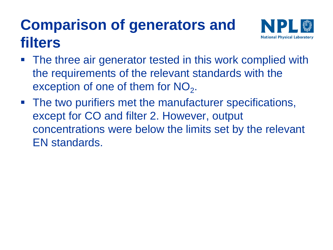# **Comparison of generators and filters**



- The three air generator tested in this work complied with the requirements of the relevant standards with the exception of one of them for  $NO<sub>2</sub>$ .
- The two purifiers met the manufacturer specifications, except for CO and filter 2. However, output concentrations were below the limits set by the relevant EN standards.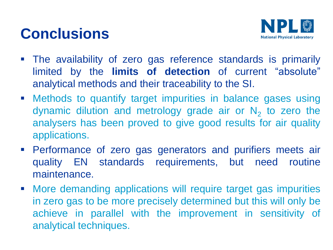# **Conclusions**



- The availability of zero gas reference standards is primarily limited by the **limits of detection** of current "absolute" analytical methods and their traceability to the SI.
- Methods to quantify target impurities in balance gases using dynamic dilution and metrology grade air or  $N_2$  to zero the analysers has been proved to give good results for air quality applications.
- Performance of zero gas generators and purifiers meets air quality EN standards requirements, but need routine maintenance.
- More demanding applications will require target gas impurities in zero gas to be more precisely determined but this will only be achieve in parallel with the improvement in sensitivity of analytical techniques.